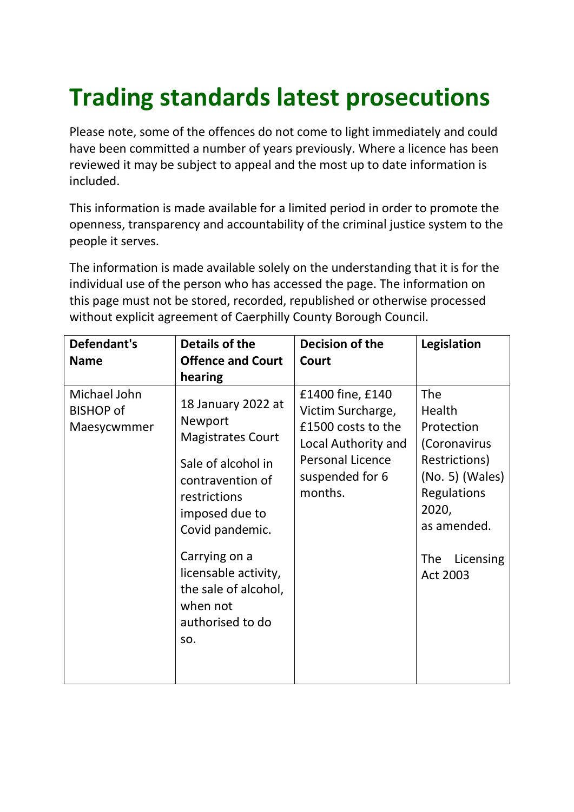## **Trading standards latest prosecutions**

Please note, some of the offences do not come to light immediately and could have been committed a number of years previously. Where a licence has been reviewed it may be subject to appeal and the most up to date information is included.

This information is made available for a limited period in order to promote the openness, transparency and accountability of the criminal justice system to the people it serves.

The information is made available solely on the understanding that it is for the individual use of the person who has accessed the page. The information on this page must not be stored, recorded, republished or otherwise processed without explicit agreement of Caerphilly County Borough Council.

| Defendant's<br><b>Name</b>                      | Details of the<br><b>Offence and Court</b><br>hearing                                                                                                                                                                                                            | Decision of the<br>Court                                                                                                                    | Legislation                                                                                                                                                                   |
|-------------------------------------------------|------------------------------------------------------------------------------------------------------------------------------------------------------------------------------------------------------------------------------------------------------------------|---------------------------------------------------------------------------------------------------------------------------------------------|-------------------------------------------------------------------------------------------------------------------------------------------------------------------------------|
| Michael John<br><b>BISHOP of</b><br>Maesycwmmer | 18 January 2022 at<br>Newport<br><b>Magistrates Court</b><br>Sale of alcohol in<br>contravention of<br>restrictions<br>imposed due to<br>Covid pandemic.<br>Carrying on a<br>licensable activity,<br>the sale of alcohol,<br>when not<br>authorised to do<br>SO. | £1400 fine, £140<br>Victim Surcharge,<br>£1500 costs to the<br>Local Authority and<br><b>Personal Licence</b><br>suspended for 6<br>months. | <b>The</b><br>Health<br>Protection<br>(Coronavirus<br>Restrictions)<br>$(No. 5)$ (Wales)<br><b>Regulations</b><br>2020,<br>as amended.<br><b>The</b><br>Licensing<br>Act 2003 |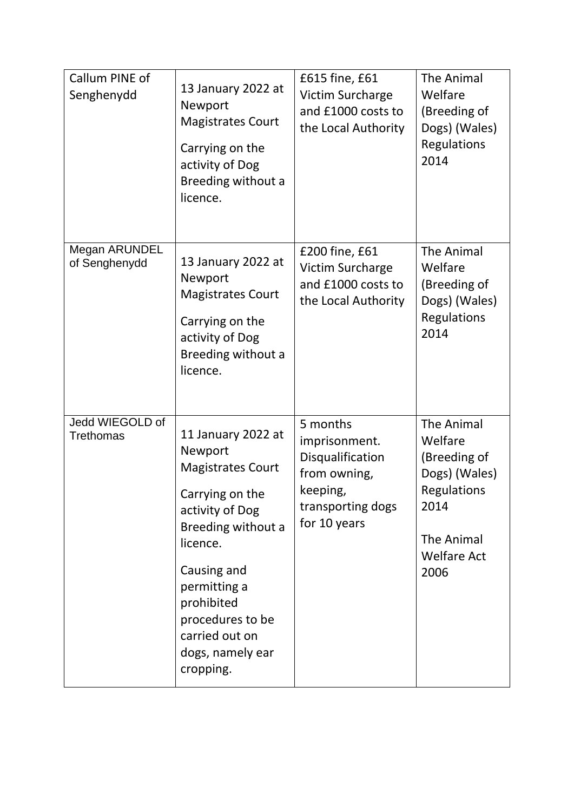| Callum PINE of<br>Senghenydd        | 13 January 2022 at<br>Newport<br><b>Magistrates Court</b><br>Carrying on the<br>activity of Dog<br>Breeding without a<br>licence.                                                                                                                     | £615 fine, £61<br><b>Victim Surcharge</b><br>and £1000 costs to<br>the Local Authority                         | <b>The Animal</b><br>Welfare<br>(Breeding of<br>Dogs) (Wales)<br><b>Regulations</b><br>2014                                             |
|-------------------------------------|-------------------------------------------------------------------------------------------------------------------------------------------------------------------------------------------------------------------------------------------------------|----------------------------------------------------------------------------------------------------------------|-----------------------------------------------------------------------------------------------------------------------------------------|
| Megan ARUNDEL<br>of Senghenydd      | 13 January 2022 at<br>Newport<br><b>Magistrates Court</b><br>Carrying on the<br>activity of Dog<br>Breeding without a<br>licence.                                                                                                                     | £200 fine, £61<br><b>Victim Surcharge</b><br>and £1000 costs to<br>the Local Authority                         | <b>The Animal</b><br>Welfare<br>(Breeding of<br>Dogs) (Wales)<br>Regulations<br>2014                                                    |
| Jedd WIEGOLD of<br><b>Trethomas</b> | 11 January 2022 at<br>Newport<br><b>Magistrates Court</b><br>Carrying on the<br>activity of Dog<br>Breeding without a<br>licence.<br>Causing and<br>permitting a<br>prohibited<br>procedures to be<br>carried out on<br>dogs, namely ear<br>cropping. | 5 months<br>imprisonment.<br>Disqualification<br>from owning,<br>keeping,<br>transporting dogs<br>for 10 years | <b>The Animal</b><br>Welfare<br>(Breeding of<br>Dogs) (Wales)<br><b>Regulations</b><br>2014<br>The Animal<br><b>Welfare Act</b><br>2006 |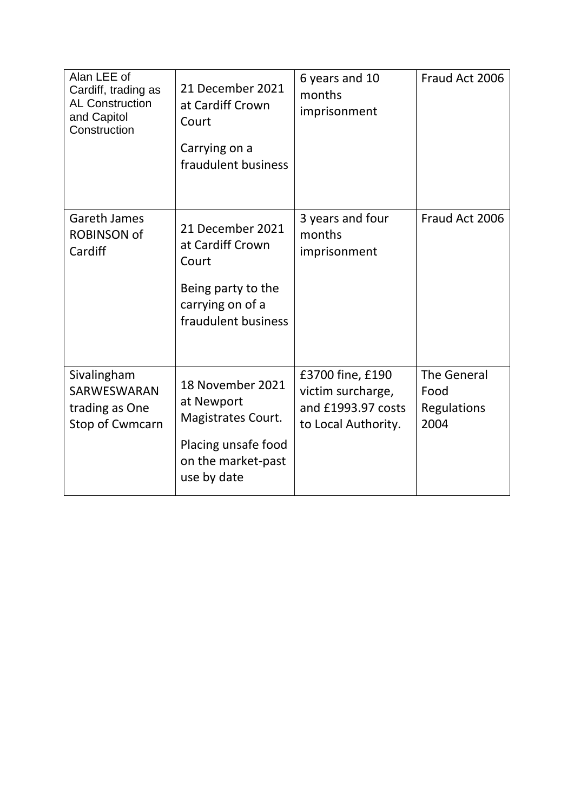| Alan LEE of<br>Cardiff, trading as<br><b>AL Construction</b><br>and Capitol<br>Construction | 21 December 2021<br>at Cardiff Crown<br>Court<br>Carrying on a<br>fraudulent business                            | 6 years and 10<br>months<br>imprisonment                                           | Fraud Act 2006                                    |
|---------------------------------------------------------------------------------------------|------------------------------------------------------------------------------------------------------------------|------------------------------------------------------------------------------------|---------------------------------------------------|
| <b>Gareth James</b><br><b>ROBINSON of</b><br>Cardiff                                        | 21 December 2021<br>at Cardiff Crown<br>Court<br>Being party to the<br>carrying on of a<br>fraudulent business   | 3 years and four<br>months<br>imprisonment                                         | Fraud Act 2006                                    |
| Sivalingham<br>SARWESWARAN<br>trading as One<br>Stop of Cwmcarn                             | 18 November 2021<br>at Newport<br>Magistrates Court.<br>Placing unsafe food<br>on the market-past<br>use by date | £3700 fine, £190<br>victim surcharge,<br>and £1993.97 costs<br>to Local Authority. | <b>The General</b><br>Food<br>Regulations<br>2004 |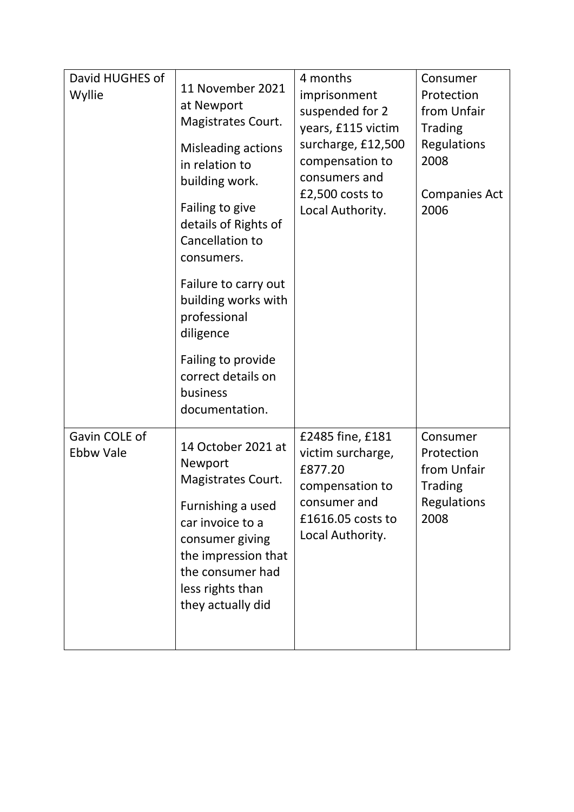| David HUGHES of<br>Wyllie         | 11 November 2021<br>at Newport<br>Magistrates Court.<br>Misleading actions<br>in relation to<br>building work.<br>Failing to give<br>details of Rights of<br>Cancellation to<br>consumers.<br>Failure to carry out<br>building works with<br>professional<br>diligence<br>Failing to provide<br>correct details on<br>business<br>documentation. | 4 months<br>imprisonment<br>suspended for 2<br>years, £115 victim<br>surcharge, £12,500<br>compensation to<br>consumers and<br>£2,500 costs to<br>Local Authority. | Consumer<br>Protection<br>from Unfair<br><b>Trading</b><br><b>Regulations</b><br>2008<br><b>Companies Act</b><br>2006 |
|-----------------------------------|--------------------------------------------------------------------------------------------------------------------------------------------------------------------------------------------------------------------------------------------------------------------------------------------------------------------------------------------------|--------------------------------------------------------------------------------------------------------------------------------------------------------------------|-----------------------------------------------------------------------------------------------------------------------|
| Gavin COLE of<br><b>Ebbw Vale</b> | 14 October 2021 at<br>Newport<br>Magistrates Court.<br>Furnishing a used<br>car invoice to a<br>consumer giving<br>the impression that<br>the consumer had<br>less rights than<br>they actually did                                                                                                                                              | £2485 fine, £181<br>victim surcharge,<br>£877.20<br>compensation to<br>consumer and<br>£1616.05 costs to<br>Local Authority.                                       | Consumer<br>Protection<br>from Unfair<br><b>Trading</b><br>Regulations<br>2008                                        |